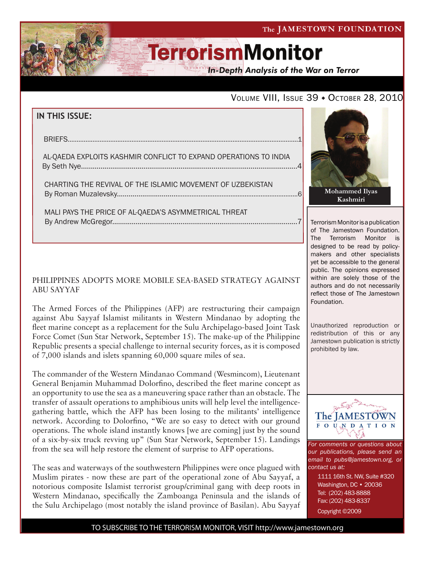#### The JAMESTOWN FOUNDATION

# **TerrorismMonitor**

**In-Depth Analysis of the War on Terror** 

### VOLUME VIII, ISSUE 39 + OCTOBER 28, 2010

### **IN THIS ISSUE:**

| <b>BRIFFS</b>                                                    |  |
|------------------------------------------------------------------|--|
|                                                                  |  |
|                                                                  |  |
| AL-QAEDA EXPLOITS KASHMIR CONFLICT TO EXPAND OPERATIONS TO INDIA |  |
|                                                                  |  |
|                                                                  |  |
|                                                                  |  |

 charting the revival of the islamic movement of uzbekistan by Roman Muzalevsky...................................................................................................6

 mali pays the price of al-qaeda's asymmetrical threat By Andrew McGregor...............................................................................................7

#### PHILIPPINES ADOPTS MORE MOBILE SEA-BASED STRATEGY AGAINST ABU SAYYAF

The Armed Forces of the Philippines (AFP) are restructuring their campaign against Abu Sayyaf Islamist militants in Western Mindanao by adopting the fleet marine concept as a replacement for the Sulu Archipelago-based Joint Task Force Comet (Sun Star Network, September 15). The make-up of the Philippine Republic presents a special challenge to internal security forces, as it is composed of 7,000 islands and islets spanning 60,000 square miles of sea.

The commander of the Western Mindanao Command (Wesmincom), Lieutenant General Benjamin Muhammad Dolorfino, described the fleet marine concept as an opportunity to use the sea as a maneuvering space rather than an obstacle. The transfer of assault operations to amphibious units will help level the intelligencegathering battle, which the AFP has been losing to the militants' intelligence network. According to Dolorfino, "We are so easy to detect with our ground operations. The whole island instantly knows [we are coming] just by the sound of a six-by-six truck revving up" (Sun Star Network, September 15). Landings from the sea will help restore the element of surprise to AFP operations.

The seas and waterways of the southwestern Philippines were once plagued with Muslim pirates - now these are part of the operational zone of Abu Sayyaf, a notorious composite Islamist terrorist group/criminal gang with deep roots in Western Mindanao, specifically the Zamboanga Peninsula and the islands of the Sulu Archipelago (most notably the island province of Basilan). Abu Sayyaf



Terrorism Monitor is a publication of The Jamestown Foundation. The Terrorism Monitor is designed to be read by policymakers and other specialists yet be accessible to the general public. The opinions expressed within are solely those of the authors and do not necessarily reflect those of The Jamestown Foundation.

Unauthorized reproduction or redistribution of this or any Jamestown publication is strictly prohibited by law.



*For comments or questions about our publications, please send an email to pubs@jamestown.org, or contact us at:* 

> 1111 16th St. NW, Suite #320 Washington, DC • 20036 Tel: (202) 483-8888 Fax: (202) 483-8337 Copyright ©2009

TO SUBSCRIBE TO THE TERRORISM MONITOR, VISIT http://www.jamestown.org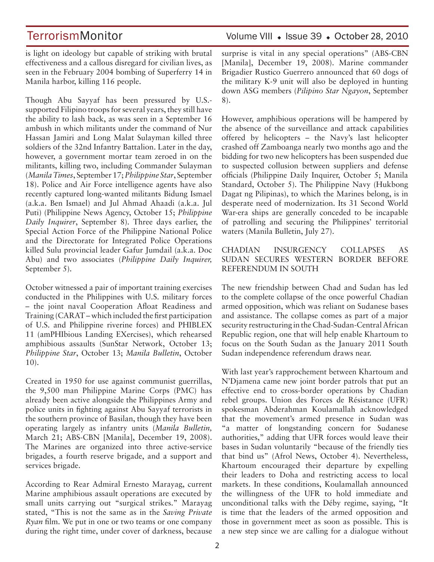is light on ideology but capable of striking with brutal effectiveness and a callous disregard for civilian lives, as seen in the February 2004 bombing of Superferry 14 in Manila harbor, killing 116 people.

Though Abu Sayyaf has been pressured by U.S. supported Filipino troops for several years, they still have the ability to lash back, as was seen in a September 16 ambush in which militants under the command of Nur Hassan Jamiri and Long Malat Sulayman killed three soldiers of the 32nd Infantry Battalion. Later in the day, however, a government mortar team zeroed in on the militants, killing two, including Commander Sulayman (*Manila Times*, September 17; *Philippine Star*, September 18). Police and Air Force intelligence agents have also recently captured long-wanted militants Bidung Ismael (a.k.a. Ben Ismael) and Jul Ahmad Ahaadi (a.k.a. Jul Puti) (Philippine News Agency, October 15; *Philippine Daily Inquirer*, September 8). Three days earlier, the Special Action Force of the Philippine National Police and the Directorate for Integrated Police Operations killed Sulu provincial leader Gafur Jumdail (a.k.a. Doc Abu) and two associates (*Philippine Daily Inquirer,*  September 5).

October witnessed a pair of important training exercises conducted in the Philippines with U.S. military forces – the joint naval Cooperation Afloat Readiness and Training (CARAT – which included the first participation of U.S. and Philippine riverine forces) and PHIBLEX 11 (amPHIbious Landing EXercises), which rehearsed amphibious assaults (SunStar Network, October 13; *Philippine Star*, October 13; *Manila Bulletin*, October 10).

Created in 1950 for use against communist guerrillas, the 9,500 man Philippine Marine Corps (PMC) has already been active alongside the Philippines Army and police units in fighting against Abu Sayyaf terrorists in the southern province of Basilan, though they have been operating largely as infantry units (*Manila Bulletin,*  March 21; ABS-CBN [Manila], December 19, 2008). The Marines are organized into three active-service brigades, a fourth reserve brigade, and a support and services brigade.

According to Rear Admiral Ernesto Marayag, current Marine amphibious assault operations are executed by small units carrying out "surgical strikes." Marayag stated, "This is not the same as in the *Saving Private Ryan* film. We put in one or two teams or one company during the right time, under cover of darkness, because

### TerrorismMonitor Volume VIII • Issue 39 • October 28, 2010

surprise is vital in any special operations" (ABS-CBN [Manila], December 19, 2008). Marine commander Brigadier Rustico Guerrero announced that 60 dogs of the military K-9 unit will also be deployed in hunting down ASG members (*Pilipino Star Ngayon*, September 8).

However, amphibious operations will be hampered by the absence of the surveillance and attack capabilities offered by helicopters – the Navy's last helicopter crashed off Zamboanga nearly two months ago and the bidding for two new helicopters has been suspended due to suspected collusion between suppliers and defense officials (Philippine Daily Inquirer, October 5; Manila Standard, October 5). The Philippine Navy (Hukbong Dagat ng Pilipinas), to which the Marines belong, is in desperate need of modernization. Its 31 Second World War-era ships are generally conceded to be incapable of patrolling and securing the Philippines' territorial waters (Manila Bulletin, July 27).

#### CHADIAN INSURGENCY COLLAPSES AS SUDAN SECURES WESTERN BORDER BEFORE REFERENDUM IN SOUTH

The new friendship between Chad and Sudan has led to the complete collapse of the once powerful Chadian armed opposition, which was reliant on Sudanese bases and assistance. The collapse comes as part of a major security restructuring in the Chad-Sudan-Central African Republic region, one that will help enable Khartoum to focus on the South Sudan as the January 2011 South Sudan independence referendum draws near.

With last year's rapprochement between Khartoum and N'Djamena came new joint border patrols that put an effective end to cross-border operations by Chadian rebel groups. Union des Forces de Résistance (UFR) spokesman Abderahman Koulamallah acknowledged that the movement's armed presence in Sudan was "a matter of longstanding concern for Sudanese authorities," adding that UFR forces would leave their bases in Sudan voluntarily "because of the friendly ties that bind us" (Afrol News, October 4). Nevertheless, Khartoum encouraged their departure by expelling their leaders to Doha and restricting access to local markets. In these conditions, Koulamallah announced the willingness of the UFR to hold immediate and unconditional talks with the Déby regime, saying, "It is time that the leaders of the armed opposition and those in government meet as soon as possible. This is a new step since we are calling for a dialogue without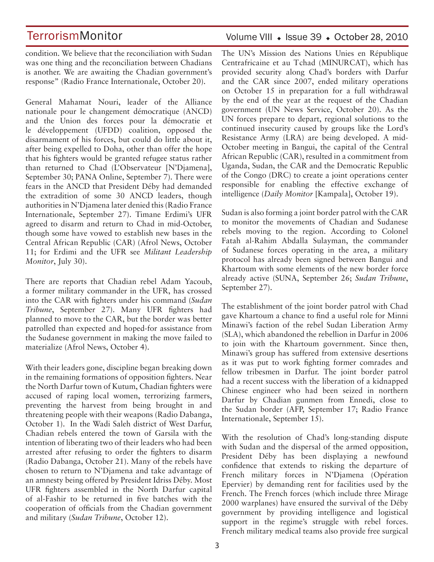condition. We believe that the reconciliation with Sudan was one thing and the reconciliation between Chadians is another. We are awaiting the Chadian government's response" (Radio France Internationale, October 20).

General Mahamat Nouri, leader of the Alliance nationale pour le changement démocratique (ANCD) and the Union des forces pour la démocratie et le développement (UFDD) coalition, opposed the disarmament of his forces, but could do little about it, after being expelled to Doha, other than offer the hope that his fighters would be granted refugee status rather than returned to Chad (L'Observateur [N'Djamena], September 30; PANA Online, September 7). There were fears in the ANCD that President Déby had demanded the extradition of some 30 ANCD leaders, though authorities in N'Djamena later denied this (Radio France Internationale, September 27). Timane Erdimi's UFR agreed to disarm and return to Chad in mid-October, though some have vowed to establish new bases in the Central African Republic (CAR) (Afrol News, October 11; for Erdimi and the UFR see *Militant Leadership Monitor*, July 30).

There are reports that Chadian rebel Adam Yacoub, a former military commander in the UFR, has crossed into the CAR with fighters under his command (*Sudan Tribune*, September 27). Many UFR fighters had planned to move to the CAR, but the border was better patrolled than expected and hoped-for assistance from the Sudanese government in making the move failed to materialize (Afrol News, October 4).

With their leaders gone, discipline began breaking down in the remaining formations of opposition fighters. Near the North Darfur town of Kutum, Chadian fighters were accused of raping local women, terrorizing farmers, preventing the harvest from being brought in and threatening people with their weapons (Radio Dabanga, October 1). In the Wadi Saleh district of West Darfur, Chadian rebels entered the town of Garsila with the intention of liberating two of their leaders who had been arrested after refusing to order the fighters to disarm (Radio Dabanga, October 21). Many of the rebels have chosen to return to N'Djamena and take advantage of an amnesty being offered by President Idriss Déby. Most UFR fighters assembled in the North Darfur capital of al-Fashir to be returned in five batches with the cooperation of officials from the Chadian government and military (*Sudan Tribune*, October 12).

### Volume VIII · Issue 39 · October 28, 2010

The UN's Mission des Nations Unies en République Centrafricaine et au Tchad (MINURCAT), which has provided security along Chad's borders with Darfur and the CAR since 2007, ended military operations on October 15 in preparation for a full withdrawal by the end of the year at the request of the Chadian government (UN News Service, October 20). As the UN forces prepare to depart, regional solutions to the continued insecurity caused by groups like the Lord's Resistance Army (LRA) are being developed. A mid-October meeting in Bangui, the capital of the Central African Republic (CAR), resulted in a commitment from Uganda, Sudan, the CAR and the Democratic Republic of the Congo (DRC) to create a joint operations center responsible for enabling the effective exchange of intelligence (*Daily Monitor* [Kampala], October 19).

Sudan is also forming a joint border patrol with the CAR to monitor the movements of Chadian and Sudanese rebels moving to the region. According to Colonel Fatah al-Rahim Abdalla Sulayman, the commander of Sudanese forces operating in the area, a military protocol has already been signed between Bangui and Khartoum with some elements of the new border force already active (SUNA, September 26; *Sudan Tribune*, September 27).

The establishment of the joint border patrol with Chad gave Khartoum a chance to find a useful role for Minni Minawi's faction of the rebel Sudan Liberation Army (SLA), which abandoned the rebellion in Darfur in 2006 to join with the Khartoum government. Since then, Minawi's group has suffered from extensive desertions as it was put to work fighting former comrades and fellow tribesmen in Darfur. The joint border patrol had a recent success with the liberation of a kidnapped Chinese engineer who had been seized in northern Darfur by Chadian gunmen from Ennedi, close to the Sudan border (AFP, September 17; Radio France Internationale, September 15).

With the resolution of Chad's long-standing dispute with Sudan and the dispersal of the armed opposition, President Déby has been displaying a newfound confidence that extends to risking the departure of French military forces in N'Djamena (Opération Epervier) by demanding rent for facilities used by the French. The French forces (which include three Mirage 2000 warplanes) have ensured the survival of the Déby government by providing intelligence and logistical support in the regime's struggle with rebel forces. French military medical teams also provide free surgical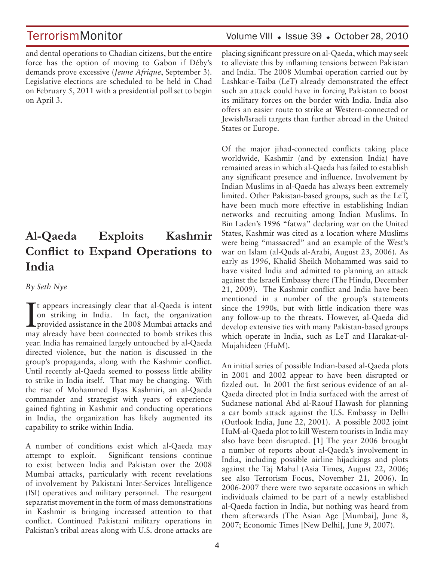and dental operations to Chadian citizens, but the entire force has the option of moving to Gabon if Déby's demands prove excessive (*Jeune Afrique*, September 3). Legislative elections are scheduled to be held in Chad on February 5, 2011 with a presidential poll set to begin on April 3.

## **Al-Qaeda Exploits Kashmir Conflict to Expand Operations to India**

*By Seth Nye*

It appears increasingly clear that al-Qaeda is intent<br>on striking in India. In fact, the organization<br>provided assistance in the 2008 Mumbai attacks and<br>may already have been connected to bomb strikes this t appears increasingly clear that al-Qaeda is intent on striking in India. In fact, the organization may already have been connected to bomb strikes this year. India has remained largely untouched by al-Qaeda directed violence, but the nation is discussed in the group's propaganda, along with the Kashmir conflict. Until recently al-Qaeda seemed to possess little ability to strike in India itself. That may be changing. With the rise of Mohammed Ilyas Kashmiri, an al-Qaeda commander and strategist with years of experience gained fighting in Kashmir and conducting operations in India, the organization has likely augmented its capability to strike within India.

A number of conditions exist which al-Qaeda may attempt to exploit. Significant tensions continue to exist between India and Pakistan over the 2008 Mumbai attacks, particularly with recent revelations of involvement by Pakistani Inter-Services Intelligence (ISI) operatives and military personnel. The resurgent separatist movement in the form of mass demonstrations in Kashmir is bringing increased attention to that conflict. Continued Pakistani military operations in Pakistan's tribal areas along with U.S. drone attacks are

## TerrorismMonitor Volume VIII + Issue 39 + October 28, 2010

placing significant pressure on al-Qaeda, which may seek to alleviate this by inflaming tensions between Pakistan and India. The 2008 Mumbai operation carried out by Lashkar-e-Taiba (LeT) already demonstrated the effect such an attack could have in forcing Pakistan to boost its military forces on the border with India. India also offers an easier route to strike at Western-connected or Jewish/Israeli targets than further abroad in the United States or Europe.

Of the major jihad-connected conflicts taking place worldwide, Kashmir (and by extension India) have remained areas in which al-Qaeda has failed to establish any significant presence and influence. Involvement by Indian Muslims in al-Qaeda has always been extremely limited. Other Pakistan-based groups, such as the LeT, have been much more effective in establishing Indian networks and recruiting among Indian Muslims. In Bin Laden's 1996 "fatwa" declaring war on the United States, Kashmir was cited as a location where Muslims were being "massacred" and an example of the West's war on Islam (al-Quds al-Arabi, August 23, 2006). As early as 1996, Khalid Sheikh Mohammed was said to have visited India and admitted to planning an attack against the Israeli Embassy there (The Hindu, December 21, 2009). The Kashmir conflict and India have been mentioned in a number of the group's statements since the 1990s, but with little indication there was any follow-up to the threats. However, al-Qaeda did develop extensive ties with many Pakistan-based groups which operate in India, such as LeT and Harakat-ul-Mujahideen (HuM).

An initial series of possible Indian-based al-Qaeda plots in 2001 and 2002 appear to have been disrupted or fizzled out. In 2001 the first serious evidence of an al-Qaeda directed plot in India surfaced with the arrest of Sudanese national Abd al-Raouf Hawash for planning a car bomb attack against the U.S. Embassy in Delhi (Outlook India, June 22, 2001). A possible 2002 joint HuM-al-Qaeda plot to kill Western tourists in India may also have been disrupted. [1] The year 2006 brought a number of reports about al-Qaeda's involvement in India, including possible airline hijackings and plots against the Taj Mahal (Asia Times, August 22, 2006; see also Terrorism Focus, November 21, 2006). In 2006-2007 there were two separate occasions in which individuals claimed to be part of a newly established al-Qaeda faction in India, but nothing was heard from them afterwards (The Asian Age [Mumbai], June 8, 2007; Economic Times [New Delhi], June 9, 2007).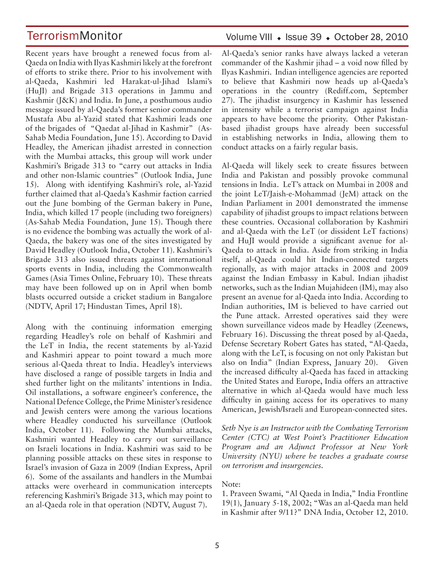Recent years have brought a renewed focus from al-Qaeda on India with Ilyas Kashmiri likely at the forefront of efforts to strike there. Prior to his involvement with al-Qaeda, Kashmiri led Harakat-ul-Jihad Islami's (HuJI) and Brigade 313 operations in Jammu and Kashmir (J&K) and India. In June, a posthumous audio message issued by al-Qaeda's former senior commander Mustafa Abu al-Yazid stated that Kashmiri leads one of the brigades of "Qaedat al-Jihad in Kashmir" (As-Sahab Media Foundation, June 15). According to David Headley, the American jihadist arrested in connection with the Mumbai attacks, this group will work under Kashmiri's Brigade 313 to "carry out attacks in India and other non-Islamic countries" (Outlook India, June 15). Along with identifying Kashmiri's role, al-Yazid further claimed that al-Qaeda's Kashmir faction carried out the June bombing of the German bakery in Pune, India, which killed 17 people (including two foreigners) (As-Sahab Media Foundation, June 15). Though there is no evidence the bombing was actually the work of al-Qaeda, the bakery was one of the sites investigated by David Headley (Outlook India, October 11). Kashmiri's Brigade 313 also issued threats against international sports events in India, including the Commonwealth Games (Asia Times Online, February 10). These threats may have been followed up on in April when bomb blasts occurred outside a cricket stadium in Bangalore (NDTV, April 17; Hindustan Times, April 18).

Along with the continuing information emerging regarding Headley's role on behalf of Kashmiri and the LeT in India, the recent statements by al-Yazid and Kashmiri appear to point toward a much more serious al-Qaeda threat to India. Headley's interviews have disclosed a range of possible targets in India and shed further light on the militants' intentions in India. Oil installations, a software engineer's conference, the National Defence College, the Prime Minister's residence and Jewish centers were among the various locations where Headley conducted his surveillance (Outlook India, October 11). Following the Mumbai attacks, Kashmiri wanted Headley to carry out surveillance on Israeli locations in India. Kashmiri was said to be planning possible attacks on these sites in response to Israel's invasion of Gaza in 2009 (Indian Express, April 6). Some of the assailants and handlers in the Mumbai attacks were overheard in communication intercepts referencing Kashmiri's Brigade 313, which may point to an al-Qaeda role in that operation (NDTV, August 7).

### Volume VIII · Issue 39 · October 28, 2010

Al-Qaeda's senior ranks have always lacked a veteran commander of the Kashmir jihad – a void now filled by Ilyas Kashmiri. Indian intelligence agencies are reported to believe that Kashmiri now heads up al-Qaeda's operations in the country (Rediff.com, September 27). The jihadist insurgency in Kashmir has lessened in intensity while a terrorist campaign against India appears to have become the priority. Other Pakistanbased jihadist groups have already been successful in establishing networks in India, allowing them to conduct attacks on a fairly regular basis.

Al-Qaeda will likely seek to create fissures between India and Pakistan and possibly provoke communal tensions in India. LeT's attack on Mumbai in 2008 and the joint LeT/Jaish-e-Mohammad (JeM) attack on the Indian Parliament in 2001 demonstrated the immense capability of jihadist groups to impact relations between these countries. Occasional collaboration by Kashmiri and al-Qaeda with the LeT (or dissident LeT factions) and HuJI would provide a significant avenue for al-Qaeda to attack in India. Aside from striking in India itself, al-Qaeda could hit Indian-connected targets regionally, as with major attacks in 2008 and 2009 against the Indian Embassy in Kabul. Indian jihadist networks, such as the Indian Mujahideen (IM), may also present an avenue for al-Qaeda into India. According to Indian authorities, IM is believed to have carried out the Pune attack. Arrested operatives said they were shown surveillance videos made by Headley (Zeenews, February 16). Discussing the threat posed by al-Qaeda, Defense Secretary Robert Gates has stated, "Al-Qaeda, along with the LeT, is focusing on not only Pakistan but also on India" (Indian Express, January 20). Given the increased difficulty al-Qaeda has faced in attacking the United States and Europe, India offers an attractive alternative in which al-Qaeda would have much less difficulty in gaining access for its operatives to many American, Jewish/Israeli and European-connected sites.

*Seth Nye is an Instructor with the Combating Terrorism Center (CTC) at West Point's Practitioner Education Program and an Adjunct Professor at New York University (NYU) where he teaches a graduate course on terrorism and insurgencies.*

Note:

1. Praveen Swami, "Al Qaeda in India," India Frontline 19(1), January 5-18, 2002; "Was an al-Qaeda man held in Kashmir after 9/11?" DNA India, October 12, 2010.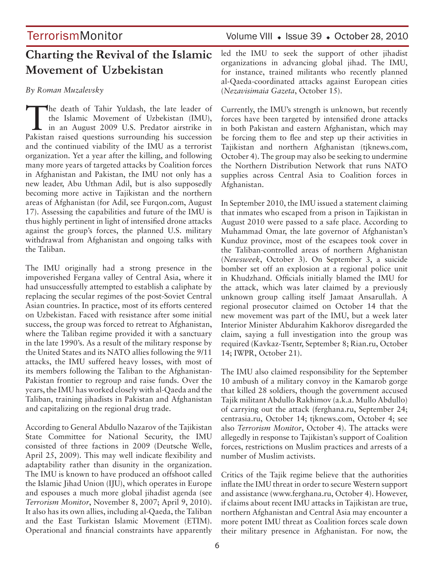## **Charting the Revival of the Islamic Movement of Uzbekistan**

#### *By Roman Muzalevsky*

The death of Tahir Yuldash, the late leader of the Islamic Movement of Uzbekistan (IMU), in an August 2009 U.S. Predator airstrike in Pakistan raised questions surrounding his succession and the continued viability of the IMU as a terrorist organization. Yet a year after the killing, and following many more years of targeted attacks by Coalition forces in Afghanistan and Pakistan, the IMU not only has a new leader, Abu Uthman Adil, but is also supposedly becoming more active in Tajikistan and the northern areas of Afghanistan (for Adil, see Furqon.com, August 17). Assessing the capabilities and future of the IMU is thus highly pertinent in light of intensified drone attacks against the group's forces, the planned U.S. military withdrawal from Afghanistan and ongoing talks with the Taliban.

The IMU originally had a strong presence in the impoverished Fergana valley of Central Asia, where it had unsuccessfully attempted to establish a caliphate by replacing the secular regimes of the post-Soviet Central Asian countries. In practice, most of its efforts centered on Uzbekistan. Faced with resistance after some initial success, the group was forced to retreat to Afghanistan, where the Taliban regime provided it with a sanctuary in the late 1990's. As a result of the military response by the United States and its NATO allies following the 9/11 attacks, the IMU suffered heavy losses, with most of its members following the Taliban to the Afghanistan-Pakistan frontier to regroup and raise funds. Over the years, the IMU has worked closely with al-Qaeda and the Taliban, training jihadists in Pakistan and Afghanistan and capitalizing on the regional drug trade.

According to General Abdullo Nazarov of the Tajikistan State Committee for National Security, the IMU consisted of three factions in 2009 (Deutsche Welle, April 25, 2009). This may well indicate flexibility and adaptability rather than disunity in the organization. The IMU is known to have produced an offshoot called the Islamic Jihad Union (IJU), which operates in Europe and espouses a much more global jihadist agenda (see *Terrorism Monitor*, November 8, 2007; April 9, 2010). It also has its own allies, including al-Qaeda, the Taliban and the East Turkistan Islamic Movement (ETIM). Operational and financial constraints have apparently

TerrorismMonitor Volume VIII • Issue 39 • October 28, 2010

led the IMU to seek the support of other jihadist organizations in advancing global jihad. The IMU, for instance, trained militants who recently planned al-Qaeda-coordinated attacks against European cities (*Nezavisimaia Gazeta*, October 15).

Currently, the IMU's strength is unknown, but recently forces have been targeted by intensified drone attacks in both Pakistan and eastern Afghanistan, which may be forcing them to flee and step up their activities in Tajikistan and northern Afghanistan (tjknews.com, October 4). The group may also be seeking to undermine the Northern Distribution Network that runs NATO supplies across Central Asia to Coalition forces in Afghanistan.

In September 2010, the IMU issued a statement claiming that inmates who escaped from a prison in Tajikistan in August 2010 were passed to a safe place. According to Muhammad Omar, the late governor of Afghanistan's Kunduz province, most of the escapees took cover in the Taliban-controlled areas of northern Afghanistan (*Newsweek*, October 3). On September 3, a suicide bomber set off an explosion at a regional police unit in Khudzhand. Officials initially blamed the IMU for the attack, which was later claimed by a previously unknown group calling itself Jamaat Ansarullah. A regional prosecutor claimed on October 14 that the new movement was part of the IMU, but a week later Interior Minister Abdurahim Kakhorov disregarded the claim, saying a full investigation into the group was required (Kavkaz-Tsentr, September 8; Rian.ru, October 14; IWPR, October 21).

The IMU also claimed responsibility for the September 10 ambush of a military convoy in the Kamarob gorge that killed 28 soldiers, though the government accused Tajik militant Abdullo Rakhimov (a.k.a. Mullo Abdullo) of carrying out the attack (ferghana.ru, September 24; centrasia.ru, October 14; tjknews.com, October 4; see also *Terrorism Monitor*, October 4). The attacks were allegedly in response to Tajikistan's support of Coalition forces, restrictions on Muslim practices and arrests of a number of Muslim activists.

Critics of the Tajik regime believe that the authorities inflate the IMU threat in order to secure Western support and assistance (www.ferghana.ru, October 4). However, if claims about recent IMU attacks in Tajikistan are true, northern Afghanistan and Central Asia may encounter a more potent IMU threat as Coalition forces scale down their military presence in Afghanistan. For now, the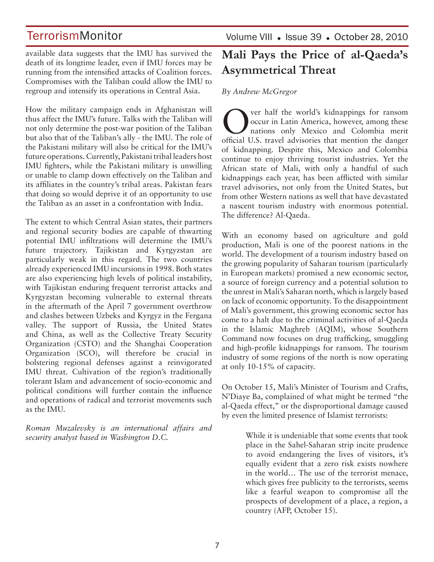available data suggests that the IMU has survived the death of its longtime leader, even if IMU forces may be running from the intensified attacks of Coalition forces. Compromises with the Taliban could allow the IMU to regroup and intensify its operations in Central Asia.

How the military campaign ends in Afghanistan will thus affect the IMU's future. Talks with the Taliban will not only determine the post-war position of the Taliban but also that of the Taliban's ally - the IMU. The role of the Pakistani military will also be critical for the IMU's future operations. Currently, Pakistani tribal leaders host IMU fighters, while the Pakistani military is unwilling or unable to clamp down effectively on the Taliban and its affiliates in the country's tribal areas. Pakistan fears that doing so would deprive it of an opportunity to use the Taliban as an asset in a confrontation with India.

The extent to which Central Asian states, their partners and regional security bodies are capable of thwarting potential IMU infiltrations will determine the IMU's future trajectory. Tajikistan and Kyrgyzstan are particularly weak in this regard. The two countries already experienced IMU incursions in 1998. Both states are also experiencing high levels of political instability, with Tajikistan enduring frequent terrorist attacks and Kyrgyzstan becoming vulnerable to external threats in the aftermath of the April 7 government overthrow and clashes between Uzbeks and Kyrgyz in the Fergana valley. The support of Russia, the United States and China, as well as the Collective Treaty Security Organization (CSTO) and the Shanghai Cooperation Organization (SCO), will therefore be crucial in bolstering regional defenses against a reinvigorated IMU threat. Cultivation of the region's traditionally tolerant Islam and advancement of socio-economic and political conditions will further contain the influence and operations of radical and terrorist movements such as the IMU.

*Roman Muzalevsky is an international affairs and security analyst based in Washington D.C.* 

Volume VIII · Issue 39 · October 28, 2010

## **Mali Pays the Price of al-Qaeda's Asymmetrical Threat**

*By Andrew McGregor* 

Over half the world's kidnappings for ransom<br>
occur in Latin America, however, among these<br>
nations only Mexico and Colombia merit occur in Latin America, however, among these official U.S. travel advisories that mention the danger of kidnapping. Despite this, Mexico and Colombia continue to enjoy thriving tourist industries. Yet the African state of Mali, with only a handful of such kidnappings each year, has been afflicted with similar travel advisories, not only from the United States, but from other Western nations as well that have devastated a nascent tourism industry with enormous potential. The difference? Al-Qaeda.

With an economy based on agriculture and gold production, Mali is one of the poorest nations in the world. The development of a tourism industry based on the growing popularity of Saharan tourism (particularly in European markets) promised a new economic sector, a source of foreign currency and a potential solution to the unrest in Mali's Saharan north, which is largely based on lack of economic opportunity. To the disappointment of Mali's government, this growing economic sector has come to a halt due to the criminal activities of al-Qaeda in the Islamic Maghreb (AQIM), whose Southern Command now focuses on drug trafficking, smuggling and high-profile kidnappings for ransom. The tourism industry of some regions of the north is now operating at only 10-15% of capacity.

On October 15, Mali's Minister of Tourism and Crafts, N'Diaye Ba, complained of what might be termed "the al-Qaeda effect," or the disproportional damage caused by even the limited presence of Islamist terrorists:

> While it is undeniable that some events that took place in the Sahel-Saharan strip incite prudence to avoid endangering the lives of visitors, it's equally evident that a zero risk exists nowhere in the world… The use of the terrorist menace, which gives free publicity to the terrorists, seems like a fearful weapon to compromise all the prospects of development of a place, a region, a country (AFP, October 15).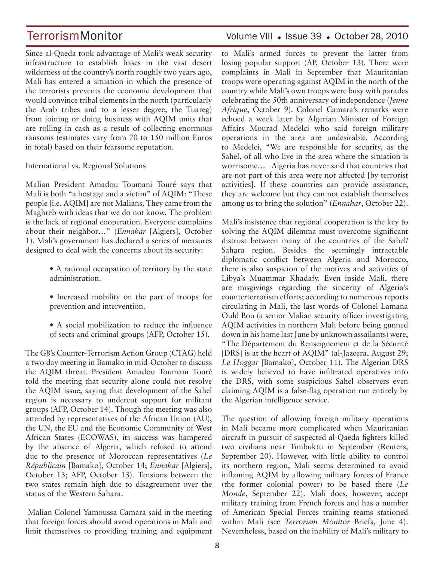Since al-Qaeda took advantage of Mali's weak security infrastructure to establish bases in the vast desert wilderness of the country's north roughly two years ago, Mali has entered a situation in which the presence of the terrorists prevents the economic development that would convince tribal elements in the north (particularly the Arab tribes and to a lesser degree, the Tuareg) from joining or doing business with AQIM units that are rolling in cash as a result of collecting enormous ransoms (estimates vary from 70 to 150 million Euros in total) based on their fearsome reputation.

#### International vs. Regional Solutions

Malian President Amadou Toumani Touré says that Mali is both "a hostage and a victim" of AQIM: "These people [i.e. AQIM] are not Malians. They came from the Maghreb with ideas that we do not know. The problem is the lack of regional cooperation. Everyone complains about their neighbor…" (*Ennahar* [Algiers], October 1). Mali's government has declared a series of measures designed to deal with the concerns about its security:

- A rational occupation of territory by the state administration.
- Increased mobility on the part of troops for prevention and intervention.
- A social mobilization to reduce the influence of sects and criminal groups (AFP, October 15).

The G8's Counter-Terrorism Action Group (CTAG) held a two day meeting in Bamako in mid-October to discuss the AQIM threat. President Amadou Toumani Touré told the meeting that security alone could not resolve the AQIM issue, saying that development of the Sahel region is necessary to undercut support for militant groups (AFP, October 14). Though the meeting was also attended by representatives of the African Union (AU), the UN, the EU and the Economic Community of West African States (ECOWAS), its success was hampered by the absence of Algeria, which refused to attend due to the presence of Moroccan representatives (*Le Républicain* [Bamako], October 14; *Ennahar* [Algiers], October 13; AFP, October 13). Tensions between the two states remain high due to disagreement over the status of the Western Sahara.

 Malian Colonel Yamoussa Camara said in the meeting that foreign forces should avoid operations in Mali and limit themselves to providing training and equipment

## TerrorismMonitor Volume VIII + Issue 39 + October 28, 2010

to Mali's armed forces to prevent the latter from losing popular support (AP, October 13). There were complaints in Mali in September that Mauritanian troops were operating against AQIM in the north of the country while Mali's own troops were busy with parades celebrating the 50th anniversary of independence (*Jeune Afrique*, October 9). Colonel Camara's remarks were echoed a week later by Algerian Minister of Foreign Affairs Mourad Medelci who said foreign military operations in the area are undesirable. According to Medelci, "We are responsible for security, as the Sahel, of all who live in the area where the situation is worrisome… Algeria has never said that countries that are not part of this area were not affected [by terrorist activities]. If these countries can provide assistance, they are welcome but they can not establish themselves among us to bring the solution" (*Ennahar*, October 22).

Mali's insistence that regional cooperation is the key to solving the AQIM dilemma must overcome significant distrust between many of the countries of the Sahel/ Sahara region. Besides the seemingly intractable diplomatic conflict between Algeria and Morocco, there is also suspicion of the motives and activities of Libya's Muammar Khadafy. Even inside Mali, there are misgivings regarding the sincerity of Algeria's counterterrorism efforts; according to numerous reports circulating in Mali, the last words of Colonel Lamana Ould Bou (a senior Malian security officer investigating AQIM activities in northern Mali before being gunned down in his home last June by unknown assailants) were, "The Département du Renseignement et de la Sécurité [DRS] is at the heart of AQIM" (al-Jazeera, August 29; *Le Hoggar* [Bamako], October 11). The Algerian DRS is widely believed to have infiltrated operatives into the DRS, with some suspicious Sahel observers even claiming AQIM is a false-flag operation run entirely by the Algerian intelligence service.

The question of allowing foreign military operations in Mali became more complicated when Mauritanian aircraft in pursuit of suspected al-Qaeda fighters killed two civilians near Timbuktu in September (Reuters, September 20). However, with little ability to control its northern region, Mali seems determined to avoid inflaming AQIM by allowing military forces of France (the former colonial power) to be based there (*Le Monde*, September 22). Mali does, however, accept military training from French forces and has a number of American Special Forces training teams stationed within Mali (see *Terrorism Monitor* Briefs, June 4). Nevertheless, based on the inability of Mali's military to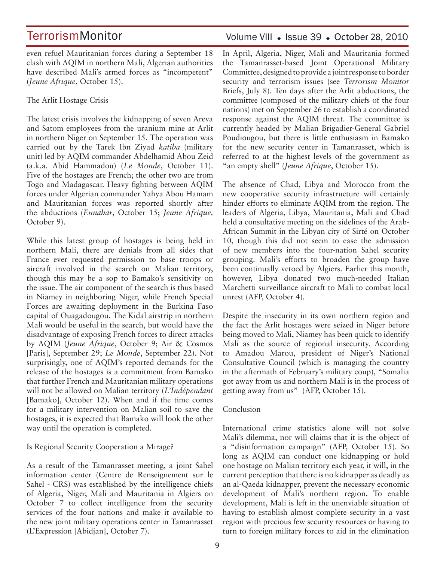even refuel Mauritanian forces during a September 18 clash with AQIM in northern Mali, Algerian authorities have described Mali's armed forces as "incompetent" (*Jeune Afrique*, October 15).

The Arlit Hostage Crisis

The latest crisis involves the kidnapping of seven Areva and Satom employees from the uranium mine at Arlit in northern Niger on September 15. The operation was carried out by the Tarek Ibn Ziyad *katiba* (military unit) led by AQIM commander Abdelhamid Abou Zeid (a.k.a. Abid Hammadou) (*Le Monde*, October 11). Five of the hostages are French; the other two are from Togo and Madagascar. Heavy fighting between AQIM forces under Algerian commander Yahya Abou Hamam and Mauritanian forces was reported shortly after the abductions (*Ennahar*, October 15; *Jeune Afrique,* October 9).

While this latest group of hostages is being held in northern Mali, there are denials from all sides that France ever requested permission to base troops or aircraft involved in the search on Malian territory, though this may be a sop to Bamako's sensitivity on the issue. The air component of the search is thus based in Niamey in neighboring Niger, while French Special Forces are awaiting deployment in the Burkina Faso capital of Ouagadougou. The Kidal airstrip in northern Mali would be useful in the search, but would have the disadvantage of exposing French forces to direct attacks by AQIM (*Jeune Afrique*, October 9; Air & Cosmos [Paris], September 29; *Le Monde*, September 22). Not surprisingly, one of AQIM's reported demands for the release of the hostages is a commitment from Bamako that further French and Mauritanian military operations will not be allowed on Malian territory (*L'Indépendant* [Bamako], October 12). When and if the time comes for a military intervention on Malian soil to save the hostages, it is expected that Bamako will look the other way until the operation is completed.

#### Is Regional Security Cooperation a Mirage?

As a result of the Tamanrasset meeting, a joint Sahel information center (Centre de Renseignement sur le Sahel - CRS) was established by the intelligence chiefs of Algeria, Niger, Mali and Mauritania in Algiers on October 7 to collect intelligence from the security services of the four nations and make it available to the new joint military operations center in Tamanrasset (L'Expression [Abidjan], October 7).

### Volume VIII · Issue 39 · October 28, 2010

In April, Algeria, Niger, Mali and Mauritania formed the Tamanrasset-based Joint Operational Military Committee, designed to provide a joint response to border security and terrorism issues (see *Terrorism Monitor* Briefs, July 8). Ten days after the Arlit abductions, the committee (composed of the military chiefs of the four nations) met on September 26 to establish a coordinated response against the AQIM threat. The committee is currently headed by Malian Brigadier-General Gabriel Poudiougou, but there is little enthusiasm in Bamako for the new security center in Tamanrasset, which is referred to at the highest levels of the government as "an empty shell" (*Jeune Afrique*, October 15).

The absence of Chad, Libya and Morocco from the new cooperative security infrastructure will certainly hinder efforts to eliminate AQIM from the region. The leaders of Algeria, Libya, Mauritania, Mali and Chad held a consultative meeting on the sidelines of the Arab-African Summit in the Libyan city of Sirté on October 10, though this did not seem to ease the admission of new members into the four-nation Sahel security grouping. Mali's efforts to broaden the group have been continually vetoed by Algiers. Earlier this month, however, Libya donated two much-needed Italian Marchetti surveillance aircraft to Mali to combat local unrest (AFP, October 4).

Despite the insecurity in its own northern region and the fact the Arlit hostages were seized in Niger before being moved to Mali, Niamey has been quick to identify Mali as the source of regional insecurity. According to Amadou Marou, president of Niger's National Consultative Council (which is managing the country in the aftermath of February's military coup), "Somalia got away from us and northern Mali is in the process of getting away from us" (AFP, October 15).

#### Conclusion

International crime statistics alone will not solve Mali's dilemma, nor will claims that it is the object of a "disinformation campaign" (AFP, October 15). So long as AQIM can conduct one kidnapping or hold one hostage on Malian territory each year, it will, in the current perception that there is no kidnapper as deadly as an al-Qaeda kidnapper, prevent the necessary economic development of Mali's northern region. To enable development, Mali is left in the unenviable situation of having to establish almost complete security in a vast region with precious few security resources or having to turn to foreign military forces to aid in the elimination